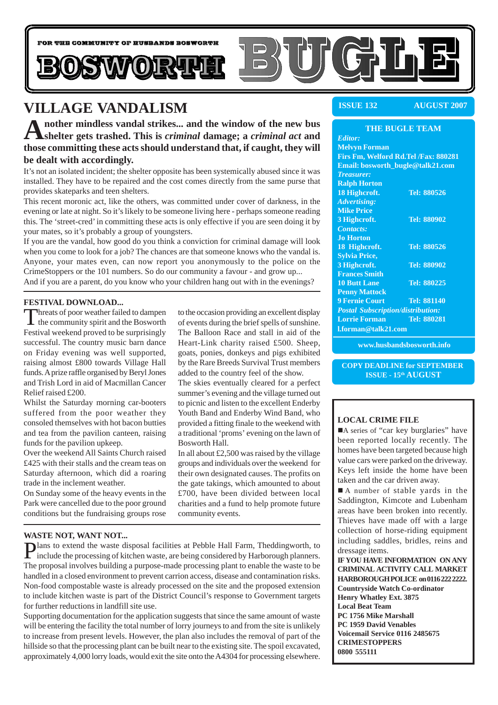

## **VILLAGE VANDALISM**

A nother mindless vandal strikes... and the window of the new bus shelter gets trashed. This is *criminal* damage; a *criminal act* and **those committing these acts should understand that, if caught, they will be dealt with accordingly.**

It's not an isolated incident; the shelter opposite has been systemically abused since it was installed. They have to be repaired and the cost comes directly from the same purse that provides skateparks and teen shelters.

This recent moronic act, like the others, was committed under cover of darkness, in the evening or late at night. So it's likely to be someone living here - perhaps someone reading this. The 'street-cred' in committing these acts is only effective if you are seen doing it by your mates, so it's probably a group of youngsters.

If you are the vandal, how good do you think a conviction for criminal damage will look when you come to look for a job? The chances are that someone knows who the vandal is. Anyone, your mates even, can now report you anonymously to the police on the CrimeStoppers or the 101 numbers. So do our community a favour - and grow up... And if you are a parent, do you know who your children hang out with in the evenings?

#### **FESTIVAL DOWNLOAD...**

Threats of poor weather failed to dampen<br>the community spirit and the Bosworth Festival weekend proved to be surprisingly successful. The country music barn dance on Friday evening was well supported, raising almost £800 towards Village Hall funds. A prize raffle organised by Beryl Jones and Trish Lord in aid of Macmillan Cancer Relief raised £200.

Whilst the Saturday morning car-booters suffered from the poor weather they consoled themselves with hot bacon butties and tea from the pavilion canteen, raising funds for the pavilion upkeep.

Over the weekend All Saints Church raised £425 with their stalls and the cream teas on Saturday afternoon, which did a roaring trade in the inclement weather.

On Sunday some of the heavy events in the Park were cancelled due to the poor ground conditions but the fundraising groups rose

to the occasion providing an excellent display of events during the brief spells of sunshine. The Balloon Race and stall in aid of the Heart-Link charity raised £500. Sheep, goats, ponies, donkeys and pigs exhibited by the Rare Breeds Survival Trust members added to the country feel of the show.

The skies eventually cleared for a perfect summer's evening and the village turned out to picnic and listen to the excellent Enderby Youth Band and Enderby Wind Band, who provided a fitting finale to the weekend with a traditional 'proms' evening on the lawn of Bosworth Hall.

In all about £2,500 was raised by the village groups and individuals over the weekend for their own designated causes. The profits on the gate takings, which amounted to about £700, have been divided between local charities and a fund to help promote future community events.

#### **WASTE NOT, WANT NOT...**

Plans to extend the waste disposal facilities at Pebble Hall Farm, Theddingworth, to include the processing of kitchen waste, are being considered by Harborough planners. The proposal involves building a purpose-made processing plant to enable the waste to be handled in a closed environment to prevent carrion access, disease and contamination risks. Non-food compostable waste is already processed on the site and the proposed extension to include kitchen waste is part of the District Council's response to Government targets for further reductions in landfill site use.

Supporting documentation for the application suggests that since the same amount of waste will be entering the facility the total number of lorry journeys to and from the site is unlikely to increase from present levels. However, the plan also includes the removal of part of the hillside so that the processing plant can be built near to the existing site. The spoil excavated, approximately 4,000 lorry loads, would exit the site onto the A4304 for processing elsewhere.

**ISSUE 132 AUGUST 2007**

#### **THE BUGLE TEAM**

*Editor:* **Melvyn Forman Firs Fm, Welford Rd.Tel /Fax: 880281 Email: bosworth\_bugle@talk21.com** *Treasurer:* **Ralph Horton 18 Highcroft. Tel: 880526** *Advertising:* **Mike Price 3 Highcroft. Tel: 880902** *Contacts:* **Jo Horton 18 Highcroft. Tel: 880526 Sylvia Price, 3 Highcroft. Tel: 880902 Frances Smith 10 Butt Lane Tel: 880225 Penny Mattock 9 Fernie Court Tel: 881140** *Postal Subscription/distribution:* **Lorrie Forman Tel: 880281 l.forman@talk21.com**

**www.husbandsbosworth.info**

**COPY DEADLINE for SEPTEMBER ISSUE - 15th AUGUST**

#### **LOCAL CRIME FILE**

A series of "car key burglaries" have been reported locally recently. The homes have been targeted because high value cars were parked on the driveway. Keys left inside the home have been taken and the car driven away.

■ A number of stable yards in the Saddington, Kimcote and Lubenham areas have been broken into recently. Thieves have made off with a large collection of horse-riding equipment including saddles, bridles, reins and dressage items.

**IF YOU HAVE INFORMATION ON ANY CRIMINAL ACTIVITY CALL MARKET HARBOROUGH POLICE on 0116 222 2222. Countryside Watch Co-ordinator Henry Whatley Ext. 3875 Local Beat Team PC 1756 Mike Marshall PC 1959 David Venables Voicemail Service 0116 2485675 CRIMESTOPPERS 0800 555111**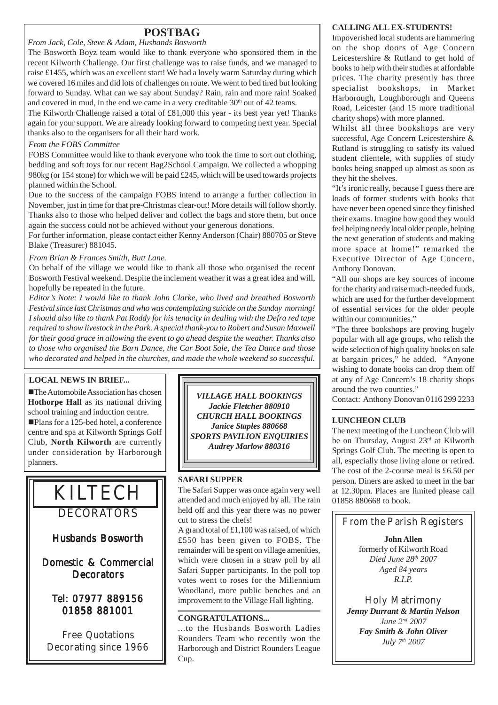### **POSTBAG**

*From Jack, Cole, Steve & Adam, Husbands Bosworth*

The Bosworth Boyz team would like to thank everyone who sponsored them in the recent Kilworth Challenge. Our first challenge was to raise funds, and we managed to raise £1455, which was an excellent start! We had a lovely warm Saturday during which we covered 16 miles and did lots of challenges on route. We went to bed tired but looking forward to Sunday. What can we say about Sunday? Rain, rain and more rain! Soaked and covered in mud, in the end we came in a very creditable  $30<sup>th</sup>$  out of 42 teams.

The Kilworth Challenge raised a total of £81,000 this year - its best year yet! Thanks again for your support. We are already looking forward to competing next year. Special thanks also to the organisers for all their hard work.

#### *From the FOBS Committee*

FOBS Committee would like to thank everyone who took the time to sort out clothing, bedding and soft toys for our recent Bag2School Campaign. We collected a whopping 980kg (or 154 stone) for which we will be paid £245, which will be used towards projects planned within the School.

Due to the success of the campaign FOBS intend to arrange a further collection in November, just in time for that pre-Christmas clear-out! More details will follow shortly. Thanks also to those who helped deliver and collect the bags and store them, but once again the success could not be achieved without your generous donations.

For further information, please contact either Kenny Anderson (Chair) 880705 or Steve Blake (Treasurer) 881045.

#### *From Brian & Frances Smith, Butt Lane.*

On behalf of the village we would like to thank all those who organised the recent Bosworth Festival weekend. Despite the inclement weather it was a great idea and will, hopefully be repeated in the future.

*Editor's Note: I would like to thank John Clarke, who lived and breathed Bosworth Festival since last Christmas and who was contemplating suicide on the Sunday morning! I should also like to thank Pat Roddy for his tenacity in dealing with the Defra red tape required to show livestock in the Park. A special thank-you to Robert and Susan Maxwell for their good grace in allowing the event to go ahead despite the weather. Thanks also to those who organised the Barn Dance, the Car Boot Sale, the Tea Dance and those who decorated and helped in the churches, and made the whole weekend so successful.*

#### **LOCAL NEWS IN BRIEF...**

**The Automobile Association has chosen Hothorpe Hall** as its national driving school training and induction centre. !Plans for a 125-bed hotel, a conference centre and spa at Kilworth Springs Golf Club, **North Kilworth** are currently under consideration by Harborough planners.

# KILTECH

DECORATORS

Husbands Bosworth

Domestic & Commercial **Decorators** 

### Tel: 07977 889156 01858 881001

Free Quotations Decorating since 1966

*VILLAGE HALL BOOKINGS Jackie Fletcher 880910 CHURCH HALL BOOKINGS Janice Staples 880668 SPORTS PAVILION ENQUIRIES Audrey Marlow 880316*

#### **SAFARI SUPPER**

The Safari Supper was once again very well attended and much enjoyed by all. The rain held off and this year there was no power cut to stress the chefs!

A grand total of £1,100 was raised, of which £550 has been given to FOBS. The remainder will be spent on village amenities, which were chosen in a straw poll by all Safari Supper participants. In the poll top votes went to roses for the Millennium Woodland, more public benches and an improvement to the Village Hall lighting.

#### **CONGRATULATIONS...**

...to the Husbands Bosworth Ladies Rounders Team who recently won the Harborough and District Rounders League Cup.

#### **CALLING ALL EX-STUDENTS!**

Impoverished local students are hammering on the shop doors of Age Concern Leicestershire & Rutland to get hold of books to help with their studies at affordable prices. The charity presently has three specialist bookshops, in Market Harborough, Loughborough and Queens Road, Leicester (and 15 more traditional charity shops) with more planned.

Whilst all three bookshops are very successful, Age Concern Leicestershire & Rutland is struggling to satisfy its valued student clientele, with supplies of study books being snapped up almost as soon as they hit the shelves.

"It's ironic really, because I guess there are loads of former students with books that have never been opened since they finished their exams. Imagine how good they would feel helping needy local older people, helping the next generation of students and making more space at home!" remarked the Executive Director of Age Concern, Anthony Donovan.

"All our shops are key sources of income for the charity and raise much-needed funds, which are used for the further development of essential services for the older people within our communities."

"The three bookshops are proving hugely popular with all age groups, who relish the wide selection of high quality books on sale at bargain prices," he added. "Anyone wishing to donate books can drop them off at any of Age Concern's 18 charity shops around the two counties."

Contact: Anthony Donovan 0116 299 2233

#### **LUNCHEON CLUB**

The next meeting of the Luncheon Club will be on Thursday, August 23rd at Kilworth Springs Golf Club. The meeting is open to all, especially those living alone or retired. The cost of the 2-course meal is £6.50 per person. Diners are asked to meet in the bar at 12.30pm. Places are limited please call 01858 880668 to book.

From the Parish Registers

**John Allen** formerly of Kilworth Road *Died June 28th 2007 Aged 84 years R.I.P.*

Holy Matrimony *Jenny Durrant & Martin Nelson June 2nd 2007 Fay Smith & John Oliver July 7th 2007*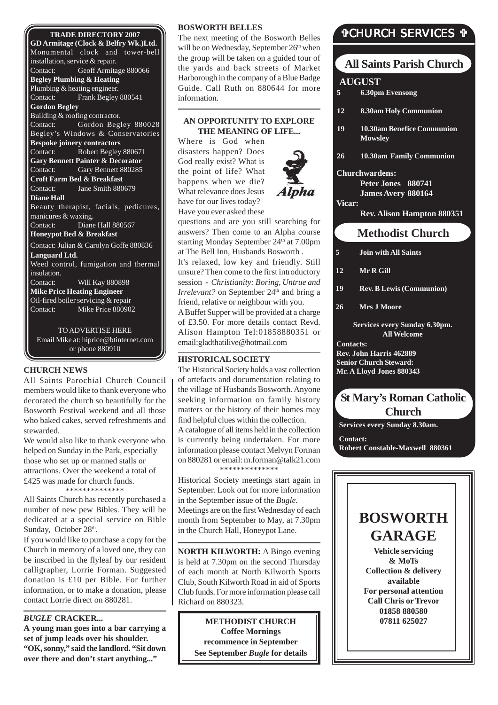#### **TRADE DIRECTORY 2007**

**GD Armitage (Clock & Belfry Wk.)Ltd.** Monumental clock and tower-bell installation, service & repair. Contact: Geoff Armitage 880066 **Begley Plumbing & Heating** Plumbing & heating engineer. Contact: Frank Begley 880541 **Gordon Begley** Building & roofing contractor. Contact: Gordon Begley 880028 Begley's Windows & Conservatories **Bespoke joinery contractors** Contact: Robert Begley 880671 **Gary Bennett Painter & Decorator** Contact: Gary Bennett 880285 **Croft Farm Bed & Breakfast** Contact: Jane Smith 880679 **Diane Hall** Beauty therapist, facials, pedicures, manicures & waxing. Contact: Diane Hall 880567 **Honeypot Bed & Breakfast** Contact: Julian & Carolyn Goffe 880836 **Languard Ltd.** Weed control, fumigation and thermal insulation. Contact: Will Kay 880898 **Mike Price Heating Engineer** Oil-fired boiler servicing & repair Contact: Mike Price 880902 TO ADVERTISE HERE

Email Mike at: hiprice@btinternet.com or phone 880910

#### **CHURCH NEWS**

All Saints Parochial Church Council members would like to thank everyone who decorated the church so beautifully for the Bosworth Festival weekend and all those who baked cakes, served refreshments and stewarded.

We would also like to thank everyone who helped on Sunday in the Park, especially those who set up or manned stalls or attractions. Over the weekend a total of £425 was made for church funds. \*\*\*\*\*\*\*\*\*\*\*\*\*\*

All Saints Church has recently purchased a number of new pew Bibles. They will be dedicated at a special service on Bible Sunday, October 28<sup>th</sup>.

If you would like to purchase a copy for the Church in memory of a loved one, they can be inscribed in the flyleaf by our resident calligrapher, Lorrie Forman. Suggested donation is £10 per Bible. For further information, or to make a donation, please contact Lorrie direct on 880281.

#### *BUGLE* **CRACKER...**

**A young man goes into a bar carrying a set of jump leads over his shoulder. "OK, sonny," said the landlord. "Sit down over there and don't start anything..."**

#### **BOSWORTH BELLES**

The next meeting of the Bosworth Belles will be on Wednesday, September 26<sup>th</sup> when the group will be taken on a guided tour of the yards and back streets of Market Harborough in the company of a Blue Badge Guide. Call Ruth on 880644 for more information.

#### **AN OPPORTUNITY TO EXPLORE THE MEANING OF LIFE...**

Where is God when disasters happen? Does God really exist? What is the point of life? What happens when we die? What relevance does Jesus have for our lives today? Have you ever asked these



questions and are you still searching for answers? Then come to an Alpha course starting Monday September 24<sup>th</sup> at 7.00pm at The Bell Inn, Husbands Bosworth . It's relaxed, low key and friendly. Still unsure? Then come to the first introductory session - *Christianity: Boring, Untrue and Irrelevant?* on September 24<sup>th</sup> and bring a friend, relative or neighbour with you. A Buffet Supper will be provided at a charge of £3.50. For more details contact Revd. Alison Hampton Tel:01858880351 or email:gladthatilive@hotmail.com

#### **HISTORICAL SOCIETY**

The Historical Society holds a vast collection of artefacts and documentation relating to the village of Husbands Bosworth. Anyone seeking information on family history matters or the history of their homes may find helpful clues within the collection. A catalogue of all items held in the collection is currently being undertaken. For more information please contact Melvyn Forman on 880281 or email: m.forman@talk21.com \*\*\*\*\*\*\*\*\*\*\*\*\*\*

Historical Society meetings start again in September. Look out for more information in the September issue of the *Bugle*. Meetings are on the first Wednesday of each month from September to May, at 7.30pm in the Church Hall, Honeypot Lane.

**NORTH KILWORTH:** A Bingo evening is held at 7.30pm on the second Thursday of each month at North Kilworth Sports Club, South Kilworth Road in aid of Sports Club funds. For more information please call Richard on 880323.

> **METHODIST CHURCH Coffee Mornings recommence in September See September** *Bugle* **for details**

### "CHURCH SERVICES "

### **All Saints Parish Church**

#### **AUGUST**

- **5 6.30pm Evensong**
- **12 8.30am Holy Communion**
- **19 10.30am Benefice Communion Mowsley**
- **26 10.30am Family Communion**

#### **Churchwardens:**

**Peter Jones 880741 James Avery 880164**

**Vicar:**

**Rev. Alison Hampton 880351**

### **Methodist Church**

**5 Join with All Saints**

**12 Mr R Gill**

**19 Rev. B Lewis (Communion)**

**26 Mrs J Moore**

**Services every Sunday 6.30pm. All Welcome**

**Contacts: Rev. John Harris 462889 Senior Church Steward: Mr. A Lloyd Jones 880343**

### **St Mary's Roman Catholic Church**

**Services every Sunday 8.30am.**

**Contact: Robert Constable-Maxwell 880361**